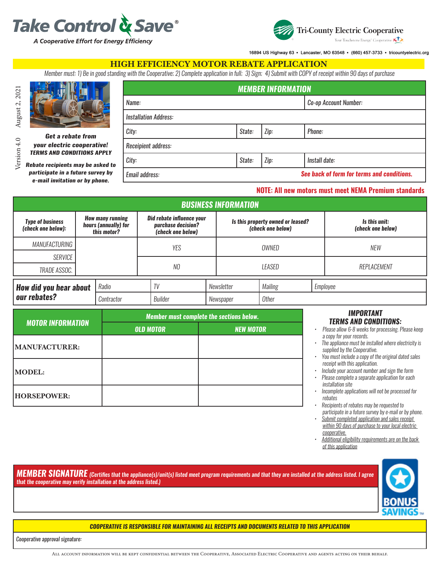



16894 US Highway 63 · Lancaster, MO 63548 · (660) 457-3733 · tricountyelectric.org

### HIGH EFFICIENCY MOTOR REBATE APPLICATION

*Member must: 1) Be in good standing with the Cooperative; 2) Complete application in full; 3) Sign; 4) Submit with COPY of receipt within 90 days of purchase*



Version 4.0 August 2,  $2021$ Version 4.0 August 2, 2021

# *Get a rebate from*

*your electric cooperative! TERMS AND CONDITIONS APPLY*

*Rebate recipients may be asked to participate in a future survey by* 

*e-mail invitation or by phone.*

| Name:                                                        | Co-op Account Number: |      |               |  |  |
|--------------------------------------------------------------|-----------------------|------|---------------|--|--|
| <b>Installation Address:</b>                                 |                       |      |               |  |  |
| City:                                                        | State:                | Zip: | Phone:        |  |  |
| Receipient address:                                          |                       |      |               |  |  |
| City:                                                        | State:                | Zip: | Install date: |  |  |
| See back of form for terms and conditions.<br>Email address: |                       |      |               |  |  |

*MEMBER INFORMATION*

#### **NOTE: All new motors must meet NEMA Premium standards**

| <b>BUSINESS INFORMATION</b>                   |  |                                                                |            |                                                                      |            |                                                        |                     |  |                                    |
|-----------------------------------------------|--|----------------------------------------------------------------|------------|----------------------------------------------------------------------|------------|--------------------------------------------------------|---------------------|--|------------------------------------|
| <b>Type of business</b><br>(check one below): |  | <b>How many running</b><br>hours (annually) for<br>this motor? |            | Did rebate influence your<br>purchase decision?<br>(check one below) |            | Is this property owned or leased?<br>(check one below) |                     |  | Is this unit:<br>(check one below) |
| MANUFACTURING                                 |  |                                                                | <b>YES</b> |                                                                      |            | OWNED                                                  |                     |  | <b>NEW</b>                         |
| SERVICE                                       |  |                                                                |            |                                                                      |            |                                                        |                     |  |                                    |
| TRADE ASSOC.                                  |  |                                                                |            | NO                                                                   |            | LEASED                                                 |                     |  | REPLACEMENT                        |
| <b>How did you hear about</b><br>our rebates? |  | Radio                                                          | TV         |                                                                      | Newsletter |                                                        | Mailing<br>Employee |  |                                    |
|                                               |  | Contractor                                                     |            | Builder                                                              |            | Newspaper                                              | Other               |  |                                    |

|                          | Member must complete the sections below. |                  |  |  |  |  |  |
|--------------------------|------------------------------------------|------------------|--|--|--|--|--|
| <b>MOTOR INFORMATION</b> | <b>OLD MOTOR</b>                         | <b>NEW MOTOR</b> |  |  |  |  |  |
| MANUFACTURER:            |                                          |                  |  |  |  |  |  |
| <b>MODEL:</b>            |                                          |                  |  |  |  |  |  |
| <b>HORSEPOWER:</b>       |                                          |                  |  |  |  |  |  |

#### *IMPORTANT TERMS AND CONDITIONS:*

*• Please allow 6-8 weeks for processing. Please keep a copy for your records.*

- *• The appliance must be installed where electricity is supplied by the Cooperative.*
- *• You must include a copy of the original dated sales receipt with this application.*
- *• Include your account number and sign the form*
- *• Please complete a separate application for each installation site*
- *• Incomplete applications will not be processed for rebates*
- *• Recipients of rebates may be requested to participate in a future survey by e-mail or by phone.*
- *• Submit completed application and sales receipt within 90 days of purchase to your local electric cooperative.*
- *• Additional eligibility requirements are on the back of this application*

*MEMBER SIGNATURE (Certifies that the appliance(s)/unit(s) listed meet program requirements and that they are installed at the address listed. I agree that the cooperative may verify installation at the address listed.)*



#### *COOPERATIVE IS RESPONSIBLE FOR MAINTAINING ALL RECEIPTS AND DOCUMENTS RELATED TO THIS APPLICATION*

*Cooperative approval signature:*